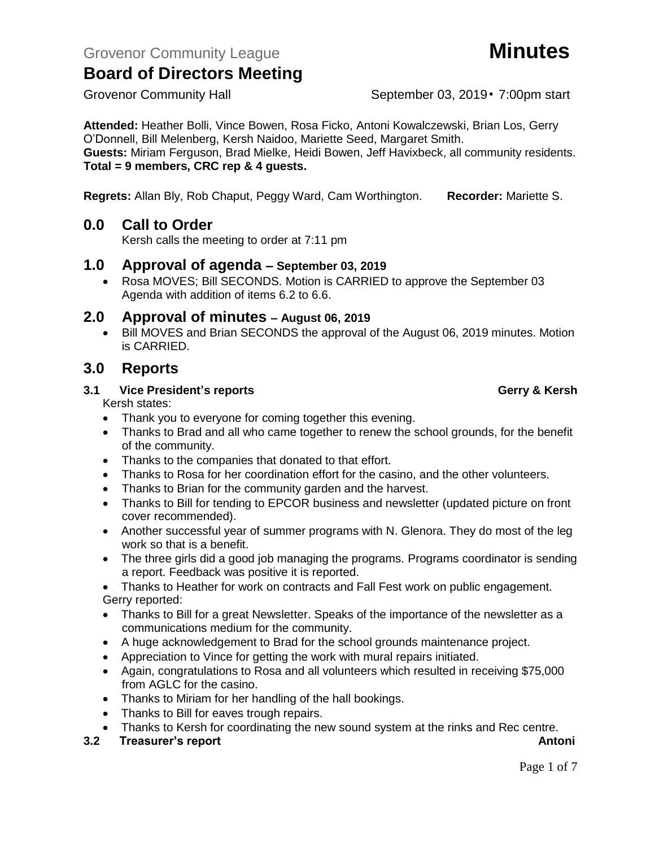**Attended:** Heather Bolli, Vince Bowen, Rosa Ficko, Antoni Kowalczewski, Brian Los, Gerry O'Donnell, Bill Melenberg, Kersh Naidoo, Mariette Seed, Margaret Smith. **Guests:** Miriam Ferguson, Brad Mielke, Heidi Bowen, Jeff Havixbeck, all community residents. **Total = 9 members, CRC rep & 4 guests.**

**Regrets:** Allan Bly, Rob Chaput, Peggy Ward, Cam Worthington. **Recorder:** Mariette S.

## **0.0 Call to Order**

Kersh calls the meeting to order at 7:11 pm

## **1.0 Approval of agenda – September 03, 2019**

• Rosa MOVES; Bill SECONDS. Motion is CARRIED to approve the September 03 Agenda with addition of items 6.2 to 6.6.

## **2.0 Approval of minutes – August 06, 2019**

• Bill MOVES and Brian SECONDS the approval of the August 06, 2019 minutes. Motion is CARRIED.

## **3.0 Reports**

### **3.1 Vice President's reports Gerry & Kersh**

Kersh states:

- Thank you to everyone for coming together this evening.
- Thanks to Brad and all who came together to renew the school grounds, for the benefit of the community.
- Thanks to the companies that donated to that effort.
- Thanks to Rosa for her coordination effort for the casino, and the other volunteers.
- Thanks to Brian for the community garden and the harvest.
- Thanks to Bill for tending to EPCOR business and newsletter (updated picture on front cover recommended).
- Another successful year of summer programs with N. Glenora. They do most of the leg work so that is a benefit.
- The three girls did a good job managing the programs. Programs coordinator is sending a report. Feedback was positive it is reported.
- Thanks to Heather for work on contracts and Fall Fest work on public engagement. Gerry reported:
- Thanks to Bill for a great Newsletter. Speaks of the importance of the newsletter as a communications medium for the community.
- A huge acknowledgement to Brad for the school grounds maintenance project.
- Appreciation to Vince for getting the work with mural repairs initiated.
- Again, congratulations to Rosa and all volunteers which resulted in receiving \$75,000 from AGLC for the casino.
- Thanks to Miriam for her handling of the hall bookings.
- Thanks to Bill for eaves trough repairs.
- Thanks to Kersh for coordinating the new sound system at the rinks and Rec centre.

**3.2 Treasurer's report Antonic Stream Antonic Stream Antonic Stream Antonic Stream Antonic Antonic Antonic Antoni** 

## Grovenor Community Hall September 03, 2019 • 7:00pm start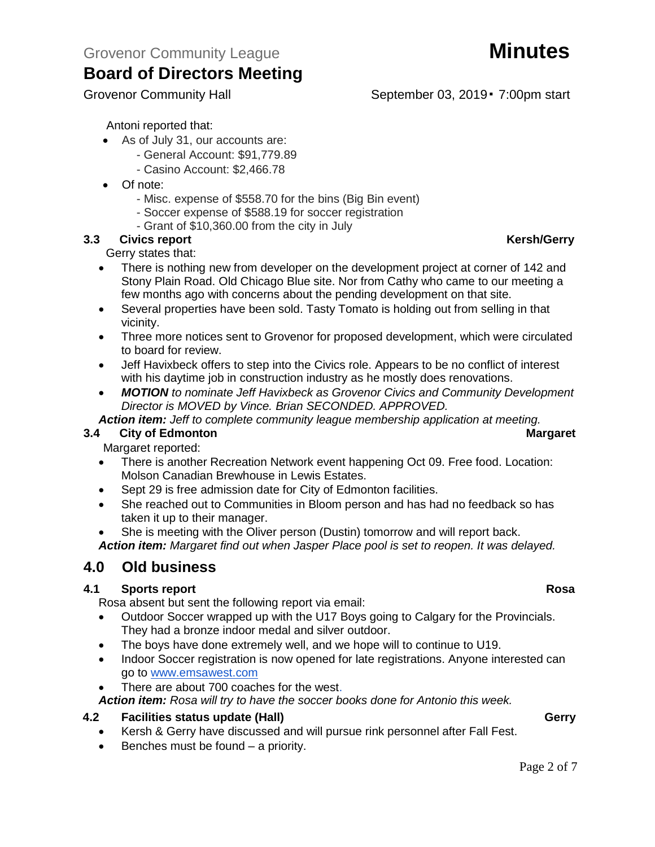- As of July 31, our accounts are:
	- General Account: \$91,779.89
	- Casino Account: \$2,466.78
- Of note:
	- Misc. expense of \$558.70 for the bins (Big Bin event)
	- Soccer expense of \$588.19 for soccer registration
	- Grant of \$10,360.00 from the city in July

## **3.3 Civics report Kersh/Gerry**

Gerry states that:

- There is nothing new from developer on the development project at corner of 142 and Stony Plain Road. Old Chicago Blue site. Nor from Cathy who came to our meeting a few months ago with concerns about the pending development on that site.
- Several properties have been sold. Tasty Tomato is holding out from selling in that vicinity.
- Three more notices sent to Grovenor for proposed development, which were circulated to board for review.
- Jeff Havixbeck offers to step into the Civics role. Appears to be no conflict of interest with his daytime job in construction industry as he mostly does renovations.
- *MOTION to nominate Jeff Havixbeck as Grovenor Civics and Community Development Director is MOVED by Vince. Brian SECONDED. APPROVED.*

## *Action item: Jeff to complete community league membership application at meeting.*

## **3.4 City of Edmonton Margaret**

Margaret reported:

- There is another Recreation Network event happening Oct 09. Free food. Location: Molson Canadian Brewhouse in Lewis Estates.
- Sept 29 is free admission date for City of Edmonton facilities.
- She reached out to Communities in Bloom person and has had no feedback so has taken it up to their manager.
- She is meeting with the Oliver person (Dustin) tomorrow and will report back.
- *Action item: Margaret find out when Jasper Place pool is set to reopen. It was delayed.*

## **4.0 Old business**

## **4.1 Sports report Rosa**

Rosa absent but sent the following report via email:

- Outdoor Soccer wrapped up with the U17 Boys going to Calgary for the Provincials. They had a bronze indoor medal and silver outdoor.
- The boys have done extremely well, and we hope will to continue to U19.
- Indoor Soccer registration is now opened for late registrations. Anyone interested can go to [www.emsawest.com](http://www.emsawest.com/)
- There are about 700 coaches for the west.
- *Action item: Rosa will try to have the soccer books done for Antonio this week.*

## **4.2 Facilities status update (Hall) Gerry George Status Gerry**

- Kersh & Gerry have discussed and will pursue rink personnel after Fall Fest.
- Benches must be found a priority.

## Grovenor Community Hall September 03, 2019 • 7:00pm start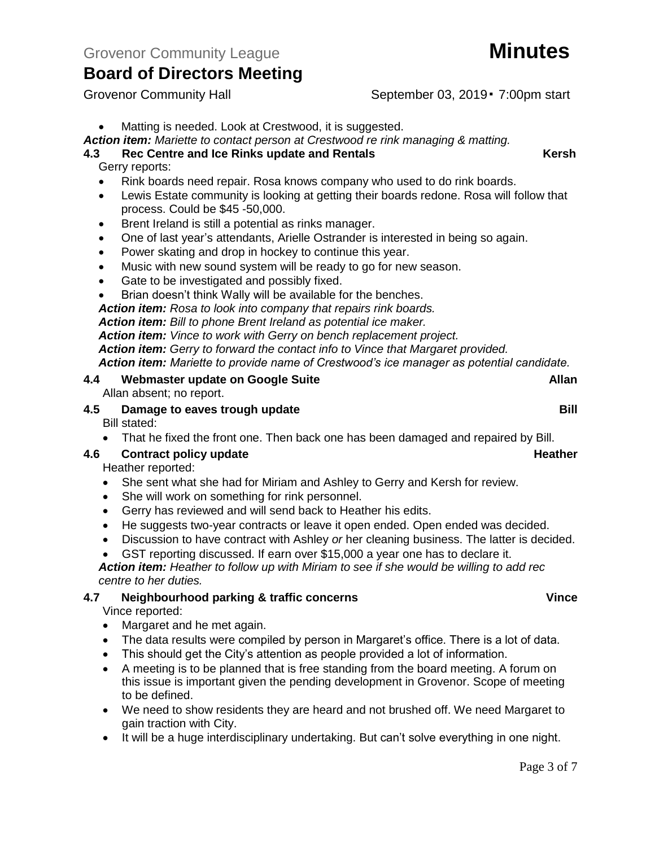Grovenor Community Hall September 03, 2019 • 7:00pm start

## *Action item: Mariette to contact person at Crestwood re rink managing & matting.*

### **4.3 Rec Centre and Ice Rinks update and Rentals Kersh** Gerry reports:

- Rink boards need repair. Rosa knows company who used to do rink boards.
- Lewis Estate community is looking at getting their boards redone. Rosa will follow that process. Could be \$45 -50,000.
- Brent Ireland is still a potential as rinks manager.
- One of last year's attendants, Arielle Ostrander is interested in being so again.
- Power skating and drop in hockey to continue this year.
- Music with new sound system will be ready to go for new season.
- Gate to be investigated and possibly fixed.
- Brian doesn't think Wally will be available for the benches.

*Action item: Rosa to look into company that repairs rink boards.*

*Action item: Bill to phone Brent Ireland as potential ice maker.*

*Action item: Vince to work with Gerry on bench replacement project.* 

*Action item: Gerry to forward the contact info to Vince that Margaret provided.*

*Action item: Mariette to provide name of Crestwood's ice manager as potential candidate.*

# **4.4 Webmaster update on Google Suite Allan**

Allan absent; no report.

## **4.5 Damage to eaves trough update Bill**

Bill stated:

• That he fixed the front one. Then back one has been damaged and repaired by Bill.

## **4.6 Contract policy update Heather**

Heather reported:

- She sent what she had for Miriam and Ashley to Gerry and Kersh for review.
- She will work on something for rink personnel.
- Gerry has reviewed and will send back to Heather his edits.
- He suggests two-year contracts or leave it open ended. Open ended was decided.
- Discussion to have contract with Ashley *or* her cleaning business. The latter is decided.
- GST reporting discussed. If earn over \$15,000 a year one has to declare it.

*Action item: Heather to follow up with Miriam to see if she would be willing to add rec centre to her duties.*

### **4.7 Neighbourhood parking & traffic concerns Vince** Vince reported:

- Margaret and he met again.
- The data results were compiled by person in Margaret's office. There is a lot of data.
- This should get the City's attention as people provided a lot of information.
- A meeting is to be planned that is free standing from the board meeting. A forum on this issue is important given the pending development in Grovenor. Scope of meeting to be defined.
- We need to show residents they are heard and not brushed off. We need Margaret to gain traction with City.
- It will be a huge interdisciplinary undertaking. But can't solve everything in one night.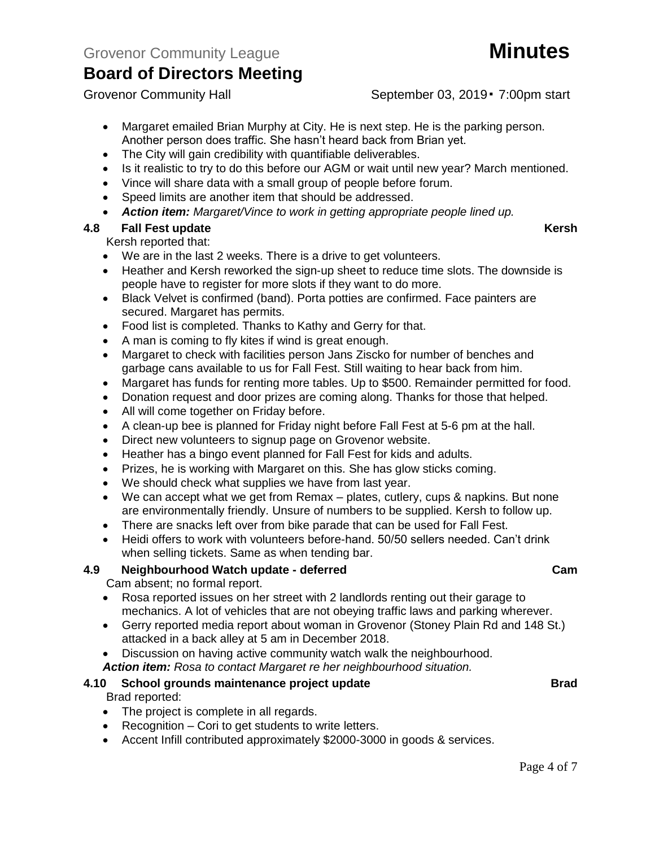Grovenor Community Hall September 03, 2019 • 7:00pm start

- Margaret emailed Brian Murphy at City. He is next step. He is the parking person. Another person does traffic. She hasn't heard back from Brian yet.
- The City will gain credibility with quantifiable deliverables.
- Is it realistic to try to do this before our AGM or wait until new year? March mentioned.
- Vince will share data with a small group of people before forum.
- Speed limits are another item that should be addressed.
- *Action item: Margaret/Vince to work in getting appropriate people lined up.*

## **4.8 Fall Fest update Kersh**

Kersh reported that:

- We are in the last 2 weeks. There is a drive to get volunteers.
- Heather and Kersh reworked the sign-up sheet to reduce time slots. The downside is people have to register for more slots if they want to do more.
- Black Velvet is confirmed (band). Porta potties are confirmed. Face painters are secured. Margaret has permits.
- Food list is completed. Thanks to Kathy and Gerry for that.
- A man is coming to fly kites if wind is great enough.
- Margaret to check with facilities person Jans Ziscko for number of benches and garbage cans available to us for Fall Fest. Still waiting to hear back from him.
- Margaret has funds for renting more tables. Up to \$500. Remainder permitted for food.
- Donation request and door prizes are coming along. Thanks for those that helped.
- All will come together on Friday before.
- A clean-up bee is planned for Friday night before Fall Fest at 5-6 pm at the hall.
- Direct new volunteers to signup page on Grovenor website.
- Heather has a bingo event planned for Fall Fest for kids and adults.
- Prizes, he is working with Margaret on this. She has glow sticks coming.
- We should check what supplies we have from last year.
- We can accept what we get from Remax plates, cutlery, cups & napkins. But none are environmentally friendly. Unsure of numbers to be supplied. Kersh to follow up.
- There are snacks left over from bike parade that can be used for Fall Fest.
- Heidi offers to work with volunteers before-hand. 50/50 sellers needed. Can't drink when selling tickets. Same as when tending bar.

## **4.9 Neighbourhood Watch update - deferred Cam**

Cam absent; no formal report.

- Rosa reported issues on her street with 2 landlords renting out their garage to mechanics. A lot of vehicles that are not obeying traffic laws and parking wherever.
- Gerry reported media report about woman in Grovenor (Stoney Plain Rd and 148 St.) attacked in a back alley at 5 am in December 2018.
- Discussion on having active community watch walk the neighbourhood.
- *Action item: Rosa to contact Margaret re her neighbourhood situation.*

## **4.10 School grounds maintenance project update Brad**

Brad reported:

- The project is complete in all regards.
- Recognition Cori to get students to write letters.
- Accent Infill contributed approximately \$2000-3000 in goods & services.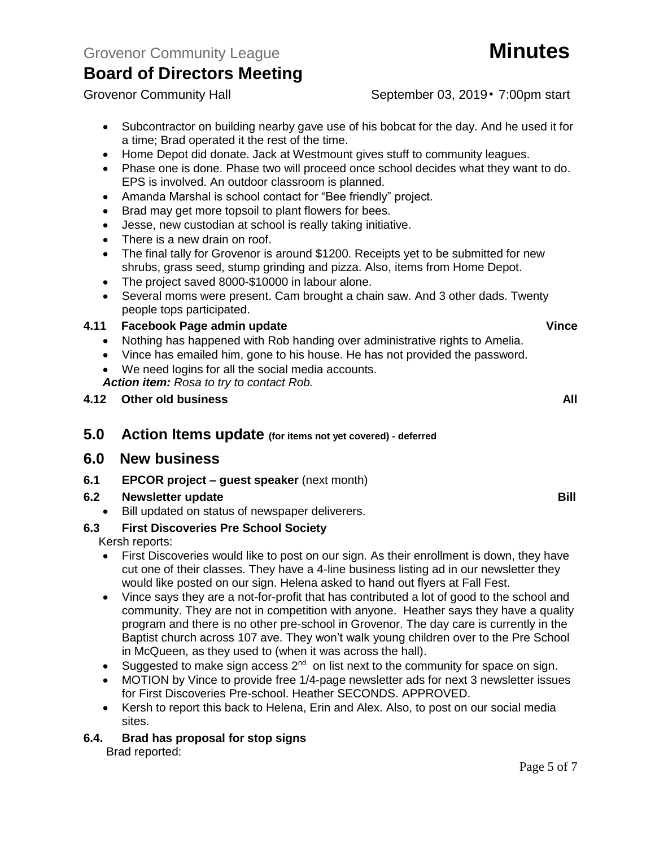Grovenor Community Hall September 03, 2019 • 7:00pm start

- Subcontractor on building nearby gave use of his bobcat for the day. And he used it for a time; Brad operated it the rest of the time.
- Home Depot did donate. Jack at Westmount gives stuff to community leagues.
- Phase one is done. Phase two will proceed once school decides what they want to do. EPS is involved. An outdoor classroom is planned.
- Amanda Marshal is school contact for "Bee friendly" project.
- Brad may get more topsoil to plant flowers for bees.
- Jesse, new custodian at school is really taking initiative.
- There is a new drain on roof.
- The final tally for Grovenor is around \$1200. Receipts yet to be submitted for new shrubs, grass seed, stump grinding and pizza. Also, items from Home Depot.
- The project saved 8000-\$10000 in labour alone.
- Several moms were present. Cam brought a chain saw. And 3 other dads. Twenty people tops participated.

### **4.11 Facebook Page admin update Vince**

- Nothing has happened with Rob handing over administrative rights to Amelia.
- Vince has emailed him, gone to his house. He has not provided the password.
- We need logins for all the social media accounts.

*Action item: Rosa to try to contact Rob.*

- **4.12 Other old business All**
- **5.0 Action Items update (for items not yet covered) - deferred**

## **6.0 New business**

**6.1 EPCOR project – guest speaker** (next month)

### **6.2 Newsletter update Bill**

• Bill updated on status of newspaper deliverers.

## **6.3 First Discoveries Pre School Society**

Kersh reports:

- First Discoveries would like to post on our sign. As their enrollment is down, they have cut one of their classes. They have a 4-line business listing ad in our newsletter they would like posted on our sign. Helena asked to hand out flyers at Fall Fest.
- Vince says they are a not-for-profit that has contributed a lot of good to the school and community. They are not in competition with anyone. Heather says they have a quality program and there is no other pre-school in Grovenor. The day care is currently in the Baptist church across 107 ave. They won't walk young children over to the Pre School in McQueen, as they used to (when it was across the hall).
- Suggested to make sign access  $2^{nd}$  on list next to the community for space on sign.
- MOTION by Vince to provide free 1/4-page newsletter ads for next 3 newsletter issues for First Discoveries Pre-school. Heather SECONDS. APPROVED.
- Kersh to report this back to Helena, Erin and Alex. Also, to post on our social media sites.

### **6.4. Brad has proposal for stop signs**

Brad reported: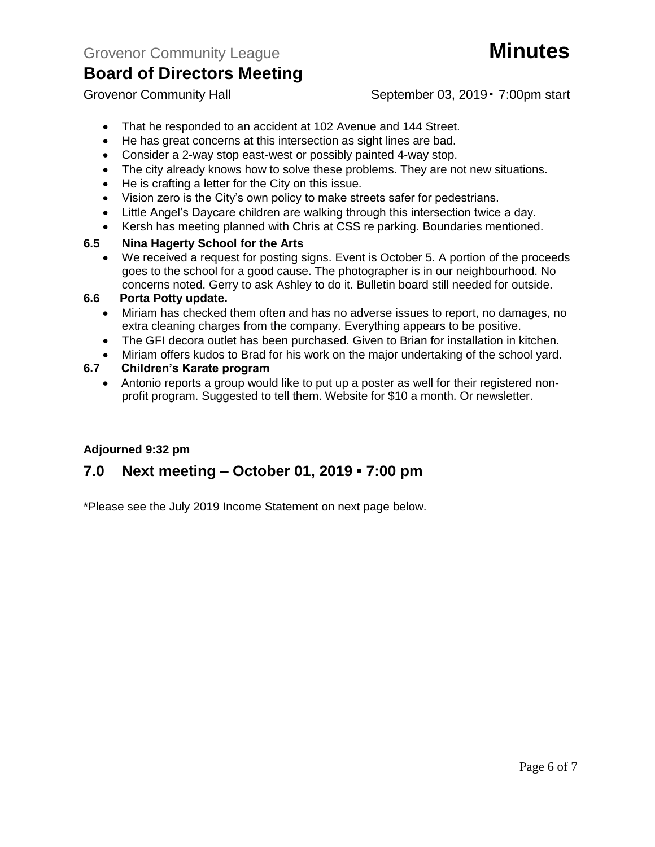# Page 6 of 7

Grovenor Community Hall September 03, 2019 • 7:00pm start

- That he responded to an accident at 102 Avenue and 144 Street.
- He has great concerns at this intersection as sight lines are bad.
- Consider a 2-way stop east-west or possibly painted 4-way stop.
- The city already knows how to solve these problems. They are not new situations.
- He is crafting a letter for the City on this issue.
- Vision zero is the City's own policy to make streets safer for pedestrians.
- Little Angel's Daycare children are walking through this intersection twice a day.
- Kersh has meeting planned with Chris at CSS re parking. Boundaries mentioned.

## **6.5 Nina Hagerty School for the Arts**

We received a request for posting signs. Event is October 5. A portion of the proceeds goes to the school for a good cause. The photographer is in our neighbourhood. No concerns noted. Gerry to ask Ashley to do it. Bulletin board still needed for outside.

## **6.6 Porta Potty update.**

- Miriam has checked them often and has no adverse issues to report, no damages, no extra cleaning charges from the company. Everything appears to be positive.
- The GFI decora outlet has been purchased. Given to Brian for installation in kitchen.
- Miriam offers kudos to Brad for his work on the major undertaking of the school yard.

## **6.7 Children's Karate program**

• Antonio reports a group would like to put up a poster as well for their registered nonprofit program. Suggested to tell them. Website for \$10 a month. Or newsletter.

## **Adjourned 9:32 pm**

## **7.0 Next meeting – October 01, 2019 ▪ 7:00 pm**

\*Please see the July 2019 Income Statement on next page below.